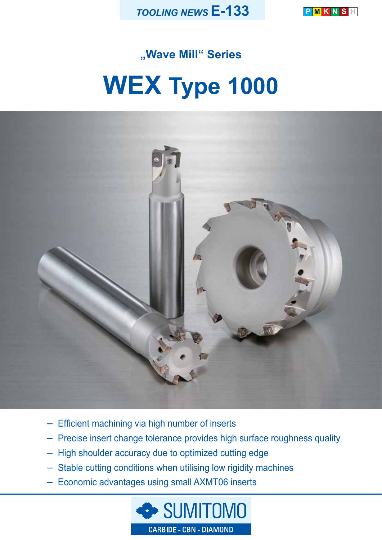

**P M K N S H**

# **"Wave Mill" Series WEX Type 1000**



- Efficient machining via high number of inserts
- Precise insert change tolerance provides high surface roughness quality
- High shoulder accuracy due to optimized cutting edge
- Stable cutting conditions when utilising low rigidity machines
- Economic advantages using small AXMT06 inserts

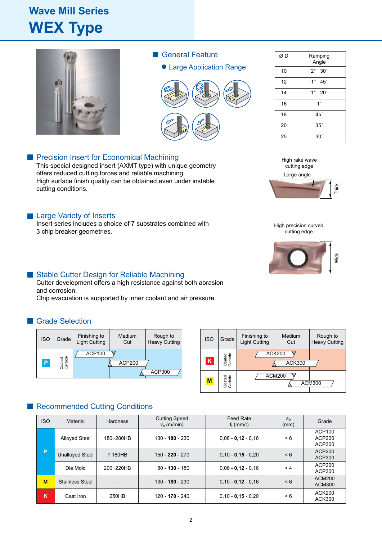## **Wave Mill Series WEX Type**



- General Feature
	- Large Application Range



| ØD | Ramping<br>Angle               |
|----|--------------------------------|
| 10 | $2^{\circ}$<br>30 <sup>′</sup> |
| 12 | $1^{\circ}$<br>45'             |
| 14 | $1^{\circ}$<br>20'             |
| 16 | $1^{\circ}$                    |
| 18 | 45′                            |
| 20 | 35'                            |
| 25 | 30                             |

## **Precision Insert for Economical Machining**

This special designed insert (AXMT type) with unique geometry offers reduced cutting forces and reliable machining. High surface finish quality can be obtained even under instable cutting conditions.

### **Large Variety of Inserts**

Insert series includes a choice of 7 substrates combined with 3 chip breaker geometries.

## ■ Stable Cutter Design for Reliable Machining

Cutter development offers a high resistance against both abrasion and corrosion.

Chip evacuation is supported by inner coolant and air pressure.

## **Grade Selection**

| <b>ISO</b> | Grade             | Finishing to<br><b>Light Cutting</b> | <b>Medium</b><br>Cut | Rough to<br><b>Heavy Cutting</b> | <b>ISO</b>              | Grade                          | Finishing to<br><b>Light Cutting</b> | Mediu<br>Cut                             |
|------------|-------------------|--------------------------------------|----------------------|----------------------------------|-------------------------|--------------------------------|--------------------------------------|------------------------------------------|
| P          | Coated<br>Carbide | <b>ACP100</b>                        | <b>ACP200</b>        | ACP300                           | $\overline{\mathsf{K}}$ | Coated<br>Carbide<br>$-\omega$ |                                      | <b>ACK200</b><br><b>ACI</b><br>$AC$ M200 |

| <b>Medium</b><br>Cut | Rough to<br><b>Heavy Cutting</b> | <b>ISO</b> | Grade             | Finishing to<br><b>Light Cutting</b> | Medium<br>Cut                  | Rough to<br><b>Heavy Cutting</b> |
|----------------------|----------------------------------|------------|-------------------|--------------------------------------|--------------------------------|----------------------------------|
| <b>ACP200</b>        | <b>ACP300</b>                    | K          | Coated<br>Carbide |                                      | <b>ACK200</b><br><b>ACK300</b> |                                  |
|                      |                                  | M          | Carbide<br>Coated |                                      | <b>ACM200</b>                  | <b>ACM300</b>                    |

## Recommended Cutting Conditions

| <b>ISO</b> | Material               | <b>Hardness</b> | <b>Cutting Speed</b><br>$v_c$ (m/min) | <b>Feed Rate</b><br>$f_t$ (mm/t) | $a_{p}$<br>(mm) | Grade                          |
|------------|------------------------|-----------------|---------------------------------------|----------------------------------|-----------------|--------------------------------|
|            | <b>Alloyed Steel</b>   | 180~280HB       | 130 - 180 - 230                       | $0.08 - 0.12 - 0.16$             | < 6             | ACP100<br>ACP200<br>ACP300     |
| P          | <b>Unalloyed Steel</b> | $\leq$ 180HB    | $150 - 220 - 270$                     | $0.10 - 0.15 - 0.20$             | $\leq 6$        | <b>ACP200</b><br>ACP300        |
|            | Die Mold               | 200~220HB       | $80 - 130 - 180$                      | $0.08 - 0.12 - 0.16$             | $\leq 4$        | ACP200<br>ACP300               |
| M          | <b>Stainless Steel</b> |                 | $130 - 180 - 230$                     | $0.10 - 0.12 - 0.16$             | $\leq 6$        | <b>ACM200</b><br><b>ACM300</b> |
| ĸ          | Cast Iron              | 250HB           | 120 - 170 - 240                       | $0.10 - 0.15 - 0.20$             | $\leq 6$        | <b>ACK200</b><br><b>ACK300</b> |





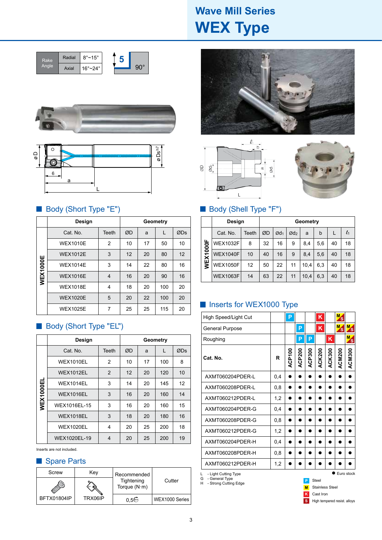## **Wave Mill Series WEX Type**







## ■ Body (Short Type "E") <br>■ Body (Shell Type "F")

|                 | Design          | Geometry |    |    |     |     |
|-----------------|-----------------|----------|----|----|-----|-----|
|                 | Cat. No.        | Teeth    | ØD | a  |     | ØDs |
|                 | <b>WEX1010E</b> | 2        | 10 | 17 | 50  | 10  |
|                 | <b>WEX1012E</b> | 3        | 12 | 20 | 80  | 12  |
|                 | <b>WEX1014E</b> | 3        | 14 | 22 | 80  | 16  |
| <b>WEX1000E</b> | <b>WEX1016E</b> | 4        | 16 | 20 | 90  | 16  |
|                 | <b>WEX1018E</b> | 4        | 18 | 20 | 100 | 20  |
|                 | <b>WEX1020E</b> | 5        | 20 | 22 | 100 | 20  |
|                 | <b>WEX1025E</b> | 7        | 25 | 25 | 115 | 20  |

## Body (Short Type "EL")

|           | <b>Design</b>    | Geometry |    |    |     |     |
|-----------|------------------|----------|----|----|-----|-----|
|           | Cat. No.         | Teeth    | ØD | a  | L   | ØDs |
|           | <b>WEX1010EL</b> | 2        | 10 | 17 | 100 | 8   |
|           | <b>WEX1012EL</b> | 2        | 12 | 20 | 120 | 10  |
|           | <b>WEX1014EL</b> | 3        | 14 | 20 | 145 | 12  |
| WEX1000EL | <b>WEX1016EL</b> | 3        | 16 | 20 | 160 | 14  |
|           | WEX1016EL-15     | 3        | 16 | 20 | 160 | 15  |
|           | <b>WEX1018EL</b> | 3        | 18 | 20 | 180 | 16  |
|           | <b>WEX1020EL</b> | 4        | 20 | 25 | 200 | 18  |
|           | WEX1020EL-19     | 4        | 20 | 25 | 200 | 19  |

Inserts are not included.

## Spare Parts

| Screw       | Key     | Recommended                        |                |
|-------------|---------|------------------------------------|----------------|
|             |         | Tightening<br>Torque $(N \cdot m)$ | Cutter         |
| BFTX01804IP | TRX06IP | ი 5∾უ                              | WEX1000 Series |







|                 | Design          | Geometry |    |                 |                 |      |     |    |         |
|-----------------|-----------------|----------|----|-----------------|-----------------|------|-----|----|---------|
| <b>WEX1000F</b> | Cat. No.        | Teeth    | ØD | Ød <sub>1</sub> | Ød <sub>2</sub> | a    | b   |    | $l_{1}$ |
|                 | <b>WEX1032F</b> | 8        | 32 | 16              | 9               | 8,4  | 5,6 | 40 | 18      |
|                 | <b>WEX1040F</b> | 10       | 40 | 16              | 9               | 8,4  | 5.6 | 40 | 18      |
|                 | <b>WEX1050F</b> | 12       | 50 | 22              | 11              | 10,4 | 6,3 | 40 | 18      |
|                 | <b>WEX1063F</b> | 14       | 63 | 22              | 11              | 10,4 | 6,3 | 40 | 18      |

## Inserts for WEX1000 Type

| High Speed/Light Cut                                                           |     | P             |        |        | K             |               | M.<br>`S      |                      |
|--------------------------------------------------------------------------------|-----|---------------|--------|--------|---------------|---------------|---------------|----------------------|
| General Purpose                                                                |     |               | P      |        | K             |               | M.<br>′s      | M <sub>2</sub><br>'s |
| Roughing                                                                       |     |               | P      | P      |               | Κ             |               | M.<br>'s             |
| Cat. No.                                                                       | R   | <b>ACP100</b> | ACP200 | ACP300 | <b>ACK200</b> | <b>ACK300</b> | <b>ACM200</b> | <b>ACM300</b>        |
| AXMT060204PDER-L                                                               | 0.4 |               |        |        |               |               |               |                      |
| AXMT060208PDER-L                                                               | 0,8 |               |        |        |               |               |               |                      |
| AXMT060212PDER-L                                                               | 1,2 |               |        |        |               |               |               |                      |
| AXMT060204PDER-G                                                               | 0,4 |               |        |        |               |               |               |                      |
| AXMT060208PDER-G                                                               | 0,8 |               |        |        |               |               |               |                      |
| AXMT060212PDER-G                                                               | 1,2 |               |        |        |               |               |               |                      |
| AXMT060204PDER-H                                                               | 0,4 |               |        |        |               |               |               |                      |
| AXMT060208PDER-H                                                               | 0,8 |               |        |        |               |               |               |                      |
| AXMT060212PDER-H                                                               | 1,2 |               |        |        |               |               |               |                      |
| L<br>- Light Cutting Type<br>- General Type<br>G<br>Н<br>- Strong Cutting Edge |     |               |        |        | <b>Steel</b>  |               |               | Euro stock           |

Stainless Steel **M** Cast Iron **K**

**S** High tempered resist. alloys